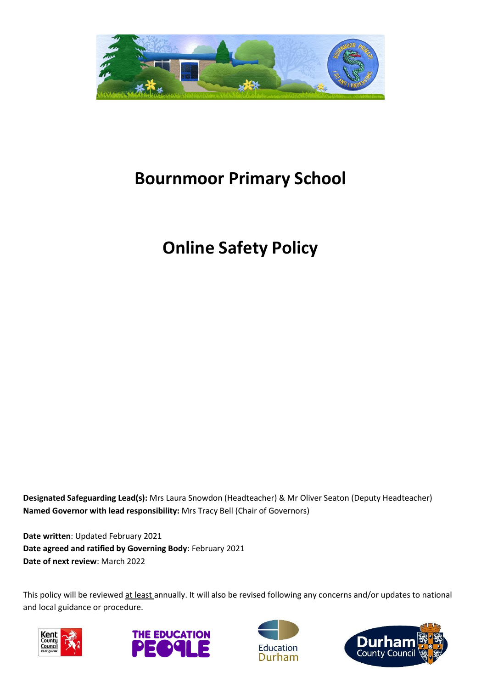

# **Bournmoor Primary School**

# **Online Safety Policy**

**Designated Safeguarding Lead(s):** Mrs Laura Snowdon (Headteacher) & Mr Oliver Seaton (Deputy Headteacher) **Named Governor with lead responsibility:** Mrs Tracy Bell (Chair of Governors)

**Date written**: Updated February 2021 **Date agreed and ratified by Governing Body**: February 2021 **Date of next review**: March 2022

This policy will be reviewed at least annually. It will also be revised following any concerns and/or updates to national and local guidance or procedure.







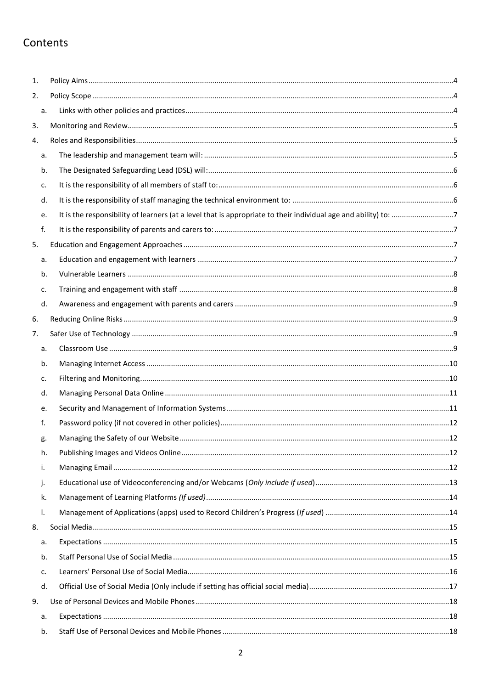## Contents

| 1. |    |  |
|----|----|--|
| 2. |    |  |
|    | a. |  |
| 3. |    |  |
| 4. |    |  |
|    | a. |  |
|    | b. |  |
|    | c. |  |
|    | d. |  |
|    | e. |  |
|    | f. |  |
| 5. |    |  |
|    | a. |  |
|    | b. |  |
|    | c. |  |
|    | d. |  |
| 6. |    |  |
| 7. |    |  |
|    | a. |  |
|    | b. |  |
|    | c. |  |
|    | d. |  |
|    | e. |  |
|    | f. |  |
|    | g. |  |
|    | h. |  |
|    | i. |  |
|    | j. |  |
|    | k. |  |
|    | I. |  |
| 8. |    |  |
|    | a. |  |
|    | b. |  |
|    | c. |  |
|    | d. |  |
| 9. |    |  |
|    | a. |  |
|    | b. |  |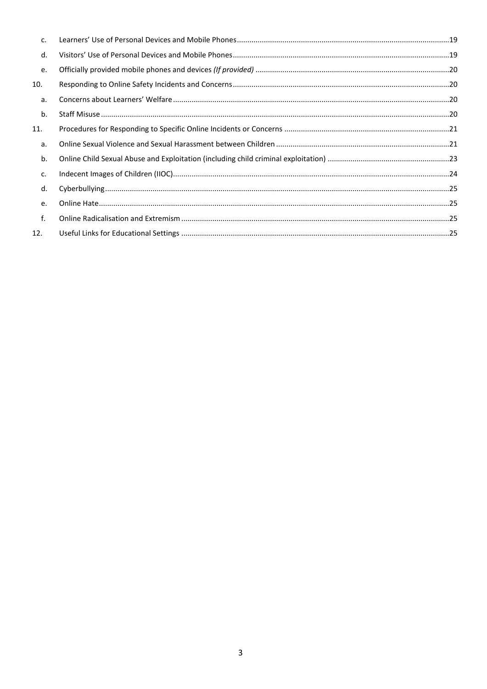| c.  |  |
|-----|--|
| d.  |  |
| e.  |  |
| 10. |  |
| а.  |  |
| b.  |  |
| 11. |  |
| а.  |  |
| b.  |  |
| c.  |  |
| d.  |  |
| e.  |  |
| f.  |  |
| 12. |  |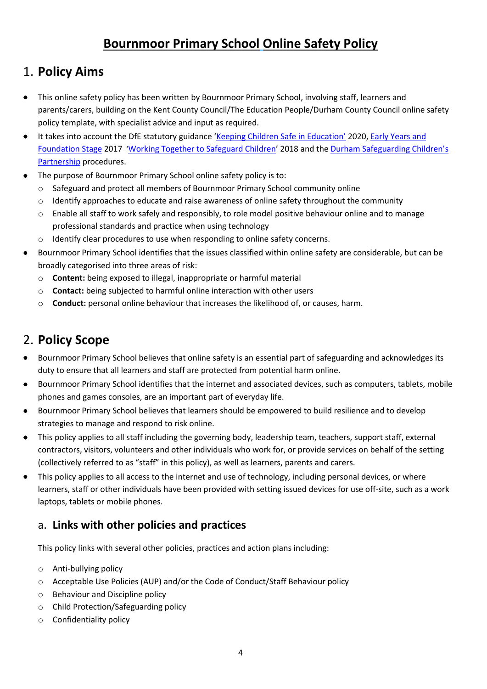## **Bournmoor Primary School Online Safety Policy**

## <span id="page-3-0"></span>1. **Policy Aims**

- This online safety policy has been written by Bournmoor Primary School, involving staff, learners and parents/carers, building on the Kent County Council/The Education People/Durham County Council online safety policy template, with specialist advice and input as required.
- It takes into account the DfE statutory guidance '[Keeping Children Safe in Education](https://www.gov.uk/government/publications/keeping-children-safe-in-education--2)' 2020[, Early Years and](https://www.gov.uk/government/publications/early-years-foundation-stage-framework--2)  [Foundation Stage](https://www.gov.uk/government/publications/early-years-foundation-stage-framework--2) 2017 '[Working Together to Safeguard Children](https://www.gov.uk/government/publications/working-together-to-safeguard-children--2)' 2018 and the [Durham Safeguarding Children's](http://www.durham-scp.org.uk/whats-new/)  [Partnership](http://www.durham-scp.org.uk/whats-new/) procedures.
- The purpose of Bournmoor Primary School online safety policy is to:
	- o Safeguard and protect all members of Bournmoor Primary School community online
	- o Identify approaches to educate and raise awareness of online safety throughout the community
	- $\circ$  Enable all staff to work safely and responsibly, to role model positive behaviour online and to manage professional standards and practice when using technology
	- o Identify clear procedures to use when responding to online safety concerns.
- Bournmoor Primary School identifies that the issues classified within online safety are considerable, but can be broadly categorised into three areas of risk:
	- o **Content:** being exposed to illegal, inappropriate or harmful material
	- o **Contact:** being subjected to harmful online interaction with other users
	- o **Conduct:** personal online behaviour that increases the likelihood of, or causes, harm.

## <span id="page-3-1"></span>2. **Policy Scope**

- Bournmoor Primary School believes that online safety is an essential part of safeguarding and acknowledges its duty to ensure that all learners and staff are protected from potential harm online.
- Bournmoor Primary School identifies that the internet and associated devices, such as computers, tablets, mobile phones and games consoles, are an important part of everyday life.
- Bournmoor Primary School believes that learners should be empowered to build resilience and to develop strategies to manage and respond to risk online.
- This policy applies to all staff including the governing body, leadership team, teachers, support staff, external contractors, visitors, volunteers and other individuals who work for, or provide services on behalf of the setting (collectively referred to as "staff" in this policy), as well as learners, parents and carers.
- This policy applies to all access to the internet and use of technology, including personal devices, or where learners, staff or other individuals have been provided with setting issued devices for use off-site, such as a work laptops, tablets or mobile phones.

#### <span id="page-3-2"></span>a. **Links with other policies and practices**

This policy links with several other policies, practices and action plans including:

- o Anti-bullying policy
- o Acceptable Use Policies (AUP) and/or the Code of Conduct/Staff Behaviour policy
- o Behaviour and Discipline policy
- o Child Protection/Safeguarding policy
- o Confidentiality policy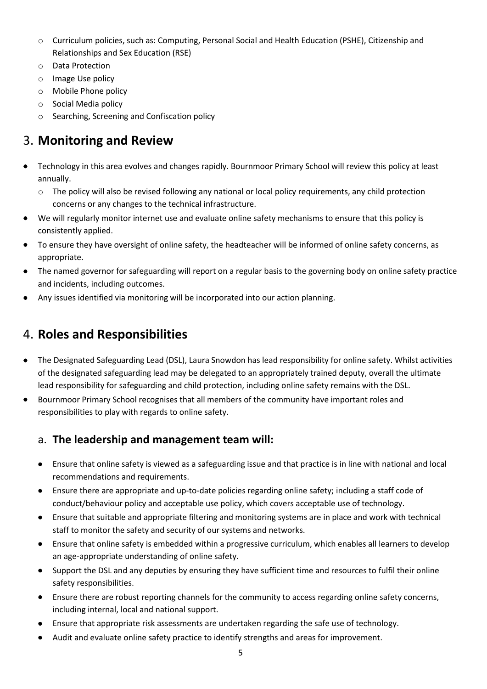- o Curriculum policies, such as: Computing, Personal Social and Health Education (PSHE), Citizenship and Relationships and Sex Education (RSE)
- o Data Protection
- o Image Use policy
- o Mobile Phone policy
- o Social Media policy
- o Searching, Screening and Confiscation policy

## <span id="page-4-0"></span>3. **Monitoring and Review**

- Technology in this area evolves and changes rapidly. Bournmoor Primary School will review this policy at least annually.
	- o The policy will also be revised following any national or local policy requirements, any child protection concerns or any changes to the technical infrastructure.
- We will regularly monitor internet use and evaluate online safety mechanisms to ensure that this policy is consistently applied.
- To ensure they have oversight of online safety, the headteacher will be informed of online safety concerns, as appropriate.
- The named governor for safeguarding will report on a regular basis to the governing body on online safety practice and incidents, including outcomes.
- Any issues identified via monitoring will be incorporated into our action planning.

## <span id="page-4-1"></span>4. **Roles and Responsibilities**

- The Designated Safeguarding Lead (DSL), Laura Snowdon has lead responsibility for online safety. Whilst activities of the designated safeguarding lead may be delegated to an appropriately trained deputy, overall the ultimate lead responsibility for safeguarding and child protection, including online safety remains with the DSL.
- Bournmoor Primary School recognises that all members of the community have important roles and responsibilities to play with regards to online safety.

#### <span id="page-4-2"></span>a. **The leadership and management team will:**

- Ensure that online safety is viewed as a safeguarding issue and that practice is in line with national and local recommendations and requirements.
- Ensure there are appropriate and up-to-date policies regarding online safety; including a staff code of conduct/behaviour policy and acceptable use policy, which covers acceptable use of technology.
- Ensure that suitable and appropriate filtering and monitoring systems are in place and work with technical staff to monitor the safety and security of our systems and networks.
- Ensure that online safety is embedded within a progressive curriculum, which enables all learners to develop an age-appropriate understanding of online safety.
- Support the DSL and any deputies by ensuring they have sufficient time and resources to fulfil their online safety responsibilities.
- Ensure there are robust reporting channels for the community to access regarding online safety concerns, including internal, local and national support.
- Ensure that appropriate risk assessments are undertaken regarding the safe use of technology.
- Audit and evaluate online safety practice to identify strengths and areas for improvement.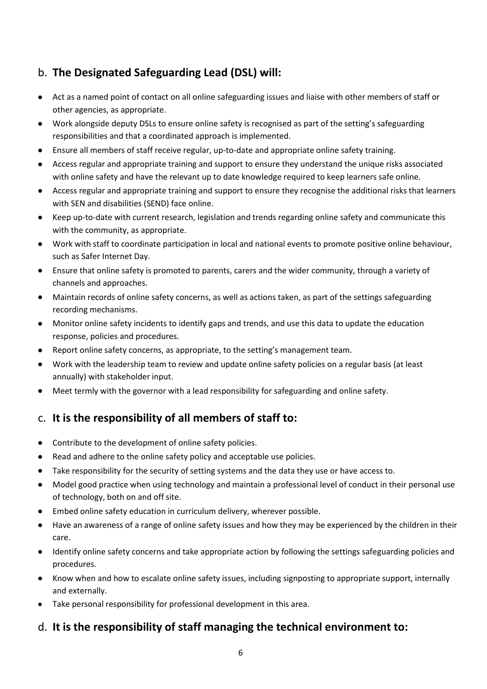### <span id="page-5-0"></span>b. **The Designated Safeguarding Lead (DSL) will:**

- Act as a named point of contact on all online safeguarding issues and liaise with other members of staff or other agencies, as appropriate.
- Work alongside deputy DSLs to ensure online safety is recognised as part of the setting's safeguarding responsibilities and that a coordinated approach is implemented.
- Ensure all members of staff receive regular, up-to-date and appropriate online safety training.
- Access regular and appropriate training and support to ensure they understand the unique risks associated with online safety and have the relevant up to date knowledge required to keep learners safe online.
- Access regular and appropriate training and support to ensure they recognise the additional risks that learners with SEN and disabilities (SEND) face online.
- Keep up-to-date with current research, legislation and trends regarding online safety and communicate this with the community, as appropriate.
- Work with staff to coordinate participation in local and national events to promote positive online behaviour, such as Safer Internet Day.
- Ensure that online safety is promoted to parents, carers and the wider community, through a variety of channels and approaches.
- Maintain records of online safety concerns, as well as actions taken, as part of the settings safeguarding recording mechanisms.
- Monitor online safety incidents to identify gaps and trends, and use this data to update the education response, policies and procedures.
- Report online safety concerns, as appropriate, to the setting's management team.
- Work with the leadership team to review and update online safety policies on a regular basis (at least annually) with stakeholder input.
- Meet termly with the governor with a lead responsibility for safeguarding and online safety.

### <span id="page-5-1"></span>c. **It is the responsibility of all members of staff to:**

- Contribute to the development of online safety policies.
- Read and adhere to the online safety policy and acceptable use policies.
- Take responsibility for the security of setting systems and the data they use or have access to.
- Model good practice when using technology and maintain a professional level of conduct in their personal use of technology, both on and off site.
- Embed online safety education in curriculum delivery, wherever possible.
- Have an awareness of a range of online safety issues and how they may be experienced by the children in their care.
- Identify online safety concerns and take appropriate action by following the settings safeguarding policies and procedures.
- Know when and how to escalate online safety issues, including signposting to appropriate support, internally and externally.
- Take personal responsibility for professional development in this area.

#### <span id="page-5-2"></span>d. **It is the responsibility of staff managing the technical environment to:**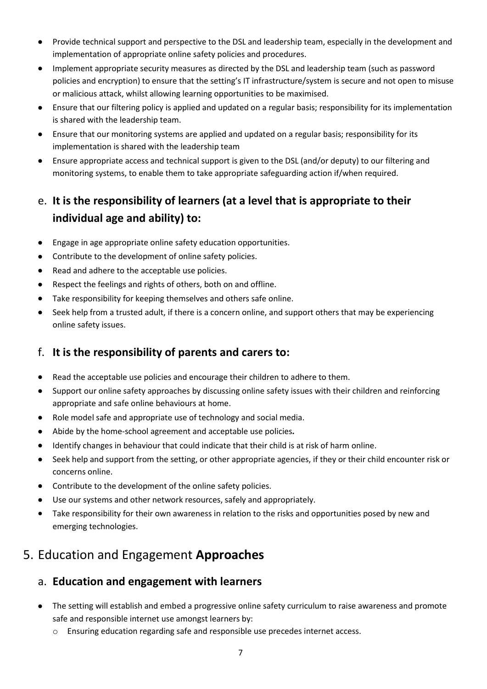- Provide technical support and perspective to the DSL and leadership team, especially in the development and implementation of appropriate online safety policies and procedures.
- Implement appropriate security measures as directed by the DSL and leadership team (such as password policies and encryption) to ensure that the setting's IT infrastructure/system is secure and not open to misuse or malicious attack, whilst allowing learning opportunities to be maximised.
- Ensure that our filtering policy is applied and updated on a regular basis; responsibility for its implementation is shared with the leadership team.
- Ensure that our monitoring systems are applied and updated on a regular basis; responsibility for its implementation is shared with the leadership team
- Ensure appropriate access and technical support is given to the DSL (and/or deputy) to our filtering and monitoring systems, to enable them to take appropriate safeguarding action if/when required.

## <span id="page-6-0"></span>e. **It is the responsibility of learners (at a level that is appropriate to their individual age and ability) to:**

- Engage in age appropriate online safety education opportunities.
- Contribute to the development of online safety policies.
- Read and adhere to the acceptable use policies.
- Respect the feelings and rights of others, both on and offline.
- Take responsibility for keeping themselves and others safe online.
- Seek help from a trusted adult, if there is a concern online, and support others that may be experiencing online safety issues.

### <span id="page-6-1"></span>f. **It is the responsibility of parents and carers to:**

- Read the acceptable use policies and encourage their children to adhere to them.
- Support our online safety approaches by discussing online safety issues with their children and reinforcing appropriate and safe online behaviours at home.
- Role model safe and appropriate use of technology and social media.
- Abide by the home-school agreement and acceptable use policies*.*
- Identify changes in behaviour that could indicate that their child is at risk of harm online.
- Seek help and support from the setting, or other appropriate agencies, if they or their child encounter risk or concerns online.
- Contribute to the development of the online safety policies.
- Use our systems and other network resources, safely and appropriately.
- Take responsibility for their own awareness in relation to the risks and opportunities posed by new and emerging technologies.

## <span id="page-6-2"></span>5. Education and Engagement **Approaches**

### <span id="page-6-3"></span>a. **Education and engagement with learners**

- The setting will establish and embed a progressive online safety curriculum to raise awareness and promote safe and responsible internet use amongst learners by:
	- o Ensuring education regarding safe and responsible use precedes internet access.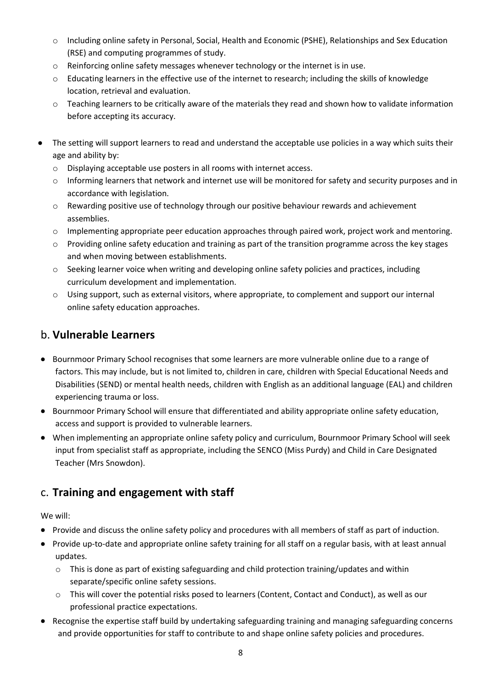- o Including online safety in Personal, Social, Health and Economic (PSHE), Relationships and Sex Education (RSE) and computing programmes of study.
- $\circ$  Reinforcing online safety messages whenever technology or the internet is in use.
- o Educating learners in the effective use of the internet to research; including the skills of knowledge location, retrieval and evaluation.
- $\circ$  Teaching learners to be critically aware of the materials they read and shown how to validate information before accepting its accuracy.
- The setting will support learners to read and understand the acceptable use policies in a way which suits their age and ability by:
	- o Displaying acceptable use posters in all rooms with internet access.
	- o Informing learners that network and internet use will be monitored for safety and security purposes and in accordance with legislation.
	- o Rewarding positive use of technology through our positive behaviour rewards and achievement assemblies.
	- $\circ$  Implementing appropriate peer education approaches through paired work, project work and mentoring.
	- $\circ$  Providing online safety education and training as part of the transition programme across the key stages and when moving between establishments.
	- o Seeking learner voice when writing and developing online safety policies and practices, including curriculum development and implementation.
	- o Using support, such as external visitors, where appropriate, to complement and support our internal online safety education approaches.

#### <span id="page-7-0"></span>b. **Vulnerable Learners**

- Bournmoor Primary School recognises that some learners are more vulnerable online due to a range of factors. This may include, but is not limited to, children in care, children with Special Educational Needs and Disabilities (SEND) or mental health needs, children with English as an additional language (EAL) and children experiencing trauma or loss.
- Bournmoor Primary School will ensure that differentiated and ability appropriate online safety education, access and support is provided to vulnerable learners.
- When implementing an appropriate online safety policy and curriculum, Bournmoor Primary School will seek input from specialist staff as appropriate, including the SENCO (Miss Purdy) and Child in Care Designated Teacher (Mrs Snowdon).

### <span id="page-7-1"></span>c. **Training and engagement with staff**

We will:

- Provide and discuss the online safety policy and procedures with all members of staff as part of induction.
- Provide up-to-date and appropriate online safety training for all staff on a regular basis, with at least annual updates.
	- $\circ$  This is done as part of existing safeguarding and child protection training/updates and within separate/specific online safety sessions.
	- $\circ$  This will cover the potential risks posed to learners (Content, Contact and Conduct), as well as our professional practice expectations.
- Recognise the expertise staff build by undertaking safeguarding training and managing safeguarding concerns and provide opportunities for staff to contribute to and shape online safety policies and procedures.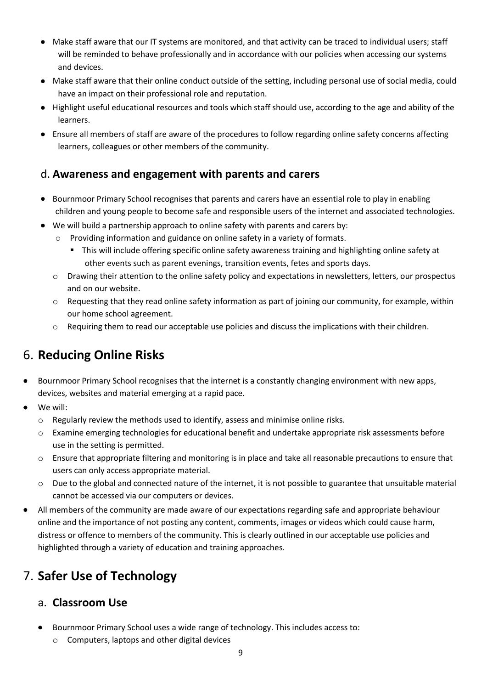- Make staff aware that our IT systems are monitored, and that activity can be traced to individual users; staff will be reminded to behave professionally and in accordance with our policies when accessing our systems and devices.
- Make staff aware that their online conduct outside of the setting, including personal use of social media, could have an impact on their professional role and reputation.
- Highlight useful educational resources and tools which staff should use, according to the age and ability of the learners.
- Ensure all members of staff are aware of the procedures to follow regarding online safety concerns affecting learners, colleagues or other members of the community.

#### <span id="page-8-0"></span>d. **Awareness and engagement with parents and carers**

- Bournmoor Primary School recognises that parents and carers have an essential role to play in enabling children and young people to become safe and responsible users of the internet and associated technologies.
- We will build a partnership approach to online safety with parents and carers by:
	- o Providing information and guidance on online safety in a variety of formats.
		- This will include offering specific online safety awareness training and highlighting online safety at other events such as parent evenings, transition events, fetes and sports days.
	- $\circ$  Drawing their attention to the online safety policy and expectations in newsletters, letters, our prospectus and on our website.
	- o Requesting that they read online safety information as part of joining our community, for example, within our home school agreement.
	- o Requiring them to read our acceptable use policies and discuss the implications with their children.

## <span id="page-8-1"></span>6. **Reducing Online Risks**

- Bournmoor Primary School recognises that the internet is a constantly changing environment with new apps, devices, websites and material emerging at a rapid pace.
- We will:
	- $\circ$  Regularly review the methods used to identify, assess and minimise online risks.
	- o Examine emerging technologies for educational benefit and undertake appropriate risk assessments before use in the setting is permitted.
	- o Ensure that appropriate filtering and monitoring is in place and take all reasonable precautions to ensure that users can only access appropriate material.
	- o Due to the global and connected nature of the internet, it is not possible to guarantee that unsuitable material cannot be accessed via our computers or devices.
- All members of the community are made aware of our expectations regarding safe and appropriate behaviour online and the importance of not posting any content, comments, images or videos which could cause harm, distress or offence to members of the community. This is clearly outlined in our acceptable use policies and highlighted through a variety of education and training approaches.

## <span id="page-8-2"></span>7. **Safer Use of Technology**

#### <span id="page-8-3"></span>a. **Classroom Use**

- Bournmoor Primary School uses a wide range of technology. This includes access to:
	- o Computers, laptops and other digital devices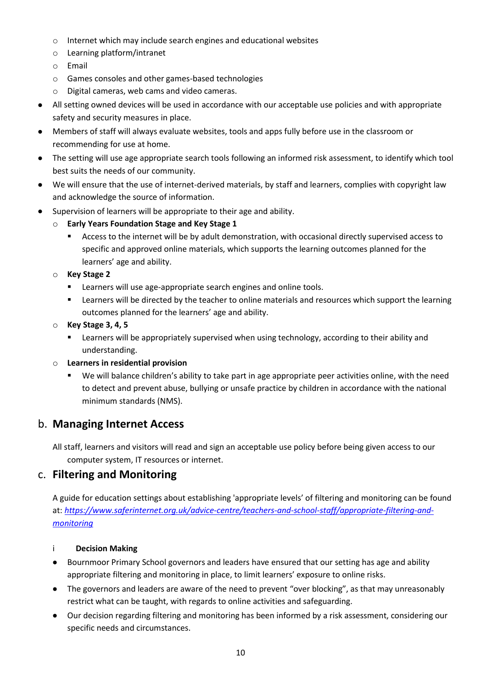- o Internet which may include search engines and educational websites
- o Learning platform/intranet
- o Email
- o Games consoles and other games-based technologies
- o Digital cameras, web cams and video cameras.
- All setting owned devices will be used in accordance with our acceptable use policies and with appropriate safety and security measures in place.
- Members of staff will always evaluate websites, tools and apps fully before use in the classroom or recommending for use at home.
- The setting will use age appropriate search tools following an informed risk assessment, to identify which tool best suits the needs of our community.
- We will ensure that the use of internet-derived materials, by staff and learners, complies with copyright law and acknowledge the source of information.
- Supervision of learners will be appropriate to their age and ability.
	- o **Early Years Foundation Stage and Key Stage 1**
		- Access to the internet will be by adult demonstration, with occasional directly supervised access to specific and approved online materials, which supports the learning outcomes planned for the learners' age and ability.
	- o **Key Stage 2** 
		- Learners will use age-appropriate search engines and online tools.
		- Learners will be directed by the teacher to online materials and resources which support the learning outcomes planned for the learners' age and ability.
	- o **Key Stage 3, 4, 5**
		- **EXECT** Learners will be appropriately supervised when using technology, according to their ability and understanding.
	- o **Learners in residential provision**
		- We will balance children's ability to take part in age appropriate peer activities online, with the need to detect and prevent abuse, bullying or unsafe practice by children in accordance with the national minimum standards (NMS).

#### <span id="page-9-0"></span>b. **Managing Internet Access**

All staff, learners and visitors will read and sign an acceptable use policy before being given access to our computer system, IT resources or internet.

#### <span id="page-9-1"></span>c. **Filtering and Monitoring**

A guide for education settings about establishing 'appropriate levels' of filtering and monitoring can be found at: *[https://www.saferinternet.org.uk/advice-centre/teachers-and-school-staff/appropriate-filtering-and](https://www.saferinternet.org.uk/advice-centre/teachers-and-school-staff/appropriate-filtering-and-monitoring)[monitoring](https://www.saferinternet.org.uk/advice-centre/teachers-and-school-staff/appropriate-filtering-and-monitoring)*

#### i **Decision Making**

- Bournmoor Primary School governors and leaders have ensured that our setting has age and ability appropriate filtering and monitoring in place, to limit learners' exposure to online risks.
- The governors and leaders are aware of the need to prevent "over blocking", as that may unreasonably restrict what can be taught, with regards to online activities and safeguarding.
- Our decision regarding filtering and monitoring has been informed by a risk assessment, considering our specific needs and circumstances.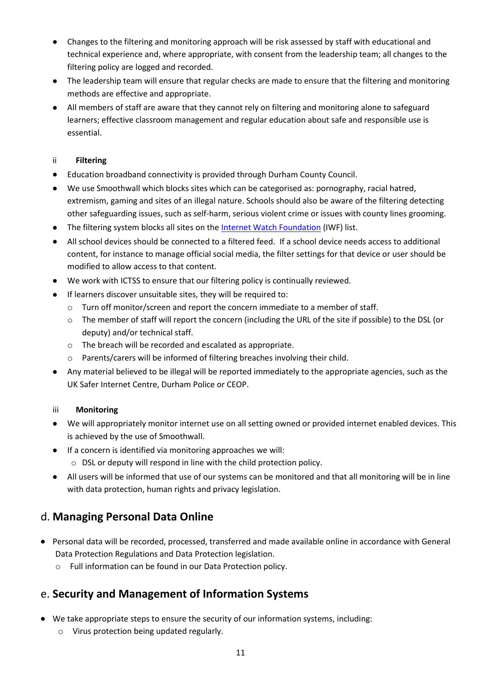- Changes to the filtering and monitoring approach will be risk assessed by staff with educational and technical experience and, where appropriate, with consent from the leadership team; all changes to the filtering policy are logged and recorded.
- The leadership team will ensure that regular checks are made to ensure that the filtering and monitoring methods are effective and appropriate.
- All members of staff are aware that they cannot rely on filtering and monitoring alone to safeguard learners; effective classroom management and regular education about safe and responsible use is essential.

#### ii **Filtering**

- Education broadband connectivity is provided through Durham County Council.
- We use Smoothwall which blocks sites which can be categorised as: pornography, racial hatred, extremism, gaming and sites of an illegal nature. Schools should also be aware of the filtering detecting other safeguarding issues, such as self-harm, serious violent crime or issues with county lines grooming.
- The filtering system blocks all sites on th[e Internet Watch Foundation](https://www.iwf.org.uk/) (IWF) list.
- All school devices should be connected to a filtered feed. If a school device needs access to additional content, for instance to manage official social media, the filter settings for that device or user should be modified to allow access to that content.
- We work with ICTSS to ensure that our filtering policy is continually reviewed.
- If learners discover unsuitable sites, they will be required to:
	- o Turn off monitor/screen and report the concern immediate to a member of staff.
	- o The member of staff will report the concern (including the URL of the site if possible) to the DSL (or deputy) and/or technical staff.
	- o The breach will be recorded and escalated as appropriate.
	- o Parents/carers will be informed of filtering breaches involving their child.
- Any material believed to be illegal will be reported immediately to the appropriate agencies, such as the UK Safer Internet Centre, Durham Police or CEOP.

#### iii **Monitoring**

- We will appropriately monitor internet use on all setting owned or provided internet enabled devices. This is achieved by the use of Smoothwall.
- If a concern is identified via monitoring approaches we will:
	- o DSL or deputy will respond in line with the child protection policy.
- All users will be informed that use of our systems can be monitored and that all monitoring will be in line with data protection, human rights and privacy legislation.

### <span id="page-10-0"></span>d. **Managing Personal Data Online**

- Personal data will be recorded, processed, transferred and made available online in accordance with General Data Protection Regulations and Data Protection legislation.
	- o Full information can be found in our Data Protection policy.

### <span id="page-10-1"></span>e. **Security and Management of Information Systems**

- We take appropriate steps to ensure the security of our information systems, including:
	- o Virus protection being updated regularly.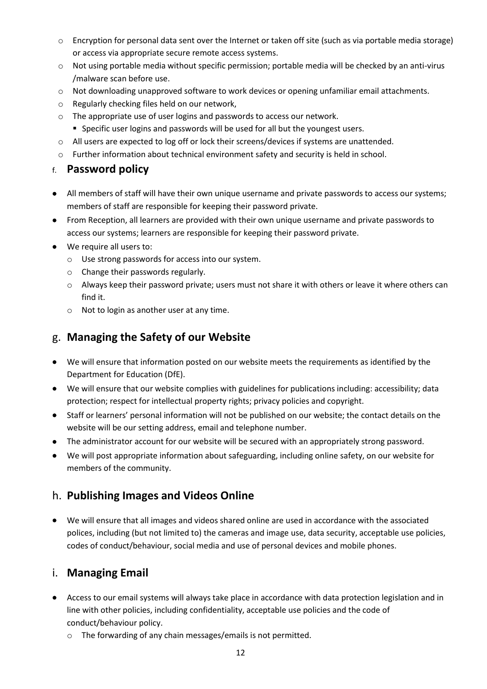- o Encryption for personal data sent over the Internet or taken off site (such as via portable media storage) or access via appropriate secure remote access systems.
- o Not using portable media without specific permission; portable media will be checked by an anti-virus /malware scan before use.
- o Not downloading unapproved software to work devices or opening unfamiliar email attachments.
- o Regularly checking files held on our network,
- o The appropriate use of user logins and passwords to access our network.
	- **EX Specific user logins and passwords will be used for all but the youngest users.**
- o All users are expected to log off or lock their screens/devices if systems are unattended.
- o Further information about technical environment safety and security is held in school.

#### <span id="page-11-0"></span>f. **Password policy**

- All members of staff will have their own unique username and private passwords to access our systems; members of staff are responsible for keeping their password private.
- From Reception, all learners are provided with their own unique username and private passwords to access our systems; learners are responsible for keeping their password private.
- We require all users to:
	- o Use strong passwords for access into our system.
	- o Change their passwords regularly.
	- o Always keep their password private; users must not share it with others or leave it where others can find it.
	- o Not to login as another user at any time.

#### <span id="page-11-1"></span>g. **Managing the Safety of our Website**

- We will ensure that information posted on our website meets the requirements as identified by the Department for Education (DfE).
- We will ensure that our website complies with guidelines for publications including: accessibility; data protection; respect for intellectual property rights; privacy policies and copyright.
- Staff or learners' personal information will not be published on our website; the contact details on the website will be our setting address, email and telephone number.
- The administrator account for our website will be secured with an appropriately strong password.
- We will post appropriate information about safeguarding, including online safety, on our website for members of the community.

### <span id="page-11-2"></span>h. **Publishing Images and Videos Online**

• We will ensure that all images and videos shared online are used in accordance with the associated polices, including (but not limited to) the cameras and image use, data security, acceptable use policies, codes of conduct/behaviour, social media and use of personal devices and mobile phones.

#### <span id="page-11-3"></span>i. **Managing Email**

- Access to our email systems will always take place in accordance with data protection legislation and in line with other policies, including confidentiality, acceptable use policies and the code of conduct/behaviour policy.
	- o The forwarding of any chain messages/emails is not permitted.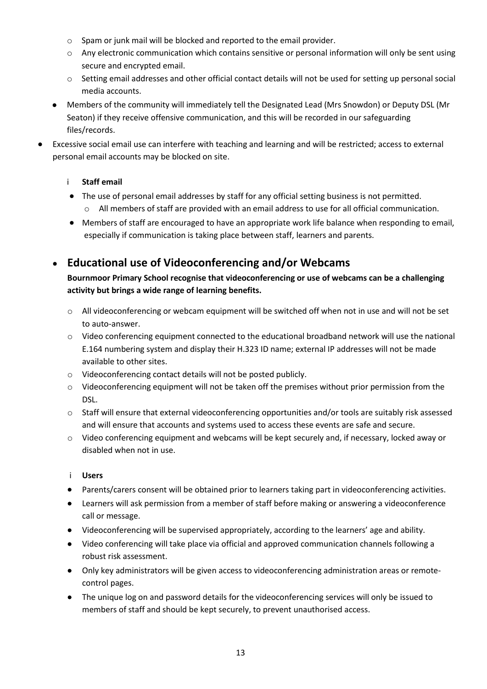- o Spam or junk mail will be blocked and reported to the email provider.
- o Any electronic communication which contains sensitive or personal information will only be sent using secure and encrypted email.
- o Setting email addresses and other official contact details will not be used for setting up personal social media accounts.
- Members of the community will immediately tell the Designated Lead (Mrs Snowdon) or Deputy DSL (Mr Seaton) if they receive offensive communication, and this will be recorded in our safeguarding files/records.
- Excessive social email use can interfere with teaching and learning and will be restricted; access to external personal email accounts may be blocked on site.

#### i **Staff email**

- The use of personal email addresses by staff for any official setting business is not permitted. o All members of staff are provided with an email address to use for all official communication.
- Members of staff are encouraged to have an appropriate work life balance when responding to email, especially if communication is taking place between staff, learners and parents.

### <span id="page-12-0"></span>• **Educational use of Videoconferencing and/or Webcams**

#### **Bournmoor Primary School recognise that videoconferencing or use of webcams can be a challenging activity but brings a wide range of learning benefits.**

- o All videoconferencing or webcam equipment will be switched off when not in use and will not be set to auto-answer.
- o Video conferencing equipment connected to the educational broadband network will use the national E.164 numbering system and display their H.323 ID name; external IP addresses will not be made available to other sites.
- o Videoconferencing contact details will not be posted publicly.
- o Videoconferencing equipment will not be taken off the premises without prior permission from the DSL.
- o Staff will ensure that external videoconferencing opportunities and/or tools are suitably risk assessed and will ensure that accounts and systems used to access these events are safe and secure.
- o Video conferencing equipment and webcams will be kept securely and, if necessary, locked away or disabled when not in use.

#### i **Users**

- Parents/carers consent will be obtained prior to learners taking part in videoconferencing activities.
- Learners will ask permission from a member of staff before making or answering a videoconference call or message.
- Videoconferencing will be supervised appropriately, according to the learners' age and ability.
- Video conferencing will take place via official and approved communication channels following a robust risk assessment.
- Only key administrators will be given access to videoconferencing administration areas or remotecontrol pages.
- The unique log on and password details for the videoconferencing services will only be issued to members of staff and should be kept securely, to prevent unauthorised access.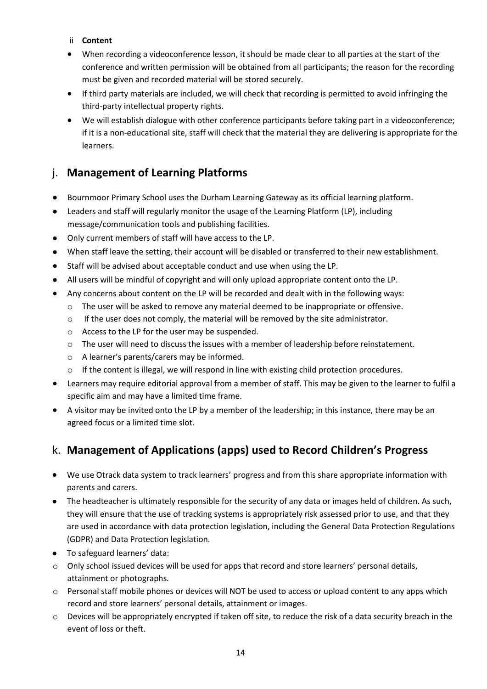- ii **Content**
- When recording a videoconference lesson, it should be made clear to all parties at the start of the conference and written permission will be obtained from all participants; the reason for the recording must be given and recorded material will be stored securely.
- If third party materials are included, we will check that recording is permitted to avoid infringing the third-party intellectual property rights.
- We will establish dialogue with other conference participants before taking part in a videoconference; if it is a non-educational site, staff will check that the material they are delivering is appropriate for the learners.

### <span id="page-13-0"></span>j. **Management of Learning Platforms**

- Bournmoor Primary School uses the Durham Learning Gateway as its official learning platform.
- Leaders and staff will regularly monitor the usage of the Learning Platform (LP), including message/communication tools and publishing facilities.
- Only current members of staff will have access to the LP.
- When staff leave the setting, their account will be disabled or transferred to their new establishment.
- Staff will be advised about acceptable conduct and use when using the LP.
- All users will be mindful of copyright and will only upload appropriate content onto the LP.
- Any concerns about content on the LP will be recorded and dealt with in the following ways:
	- o The user will be asked to remove any material deemed to be inappropriate or offensive.
	- o If the user does not comply, the material will be removed by the site administrator.
	- o Access to the LP for the user may be suspended.
	- o The user will need to discuss the issues with a member of leadership before reinstatement.
	- o A learner's parents/carers may be informed.
	- $\circ$  If the content is illegal, we will respond in line with existing child protection procedures.
- Learners may require editorial approval from a member of staff. This may be given to the learner to fulfil a specific aim and may have a limited time frame.
- A visitor may be invited onto the LP by a member of the leadership; in this instance, there may be an agreed focus or a limited time slot.

### <span id="page-13-1"></span>k. **Management of Applications (apps) used to Record Children's Progress**

- We use Otrack data system to track learners' progress and from this share appropriate information with parents and carers.
- The headteacher is ultimately responsible for the security of any data or images held of children. As such, they will ensure that the use of tracking systems is appropriately risk assessed prior to use, and that they are used in accordance with data protection legislation, including the General Data Protection Regulations (GDPR) and Data Protection legislation.
- To safeguard learners' data:
- o Only school issued devices will be used for apps that record and store learners' personal details, attainment or photographs.
- o Personal staff mobile phones or devices will NOT be used to access or upload content to any apps which record and store learners' personal details, attainment or images.
- $\circ$  Devices will be appropriately encrypted if taken off site, to reduce the risk of a data security breach in the event of loss or theft.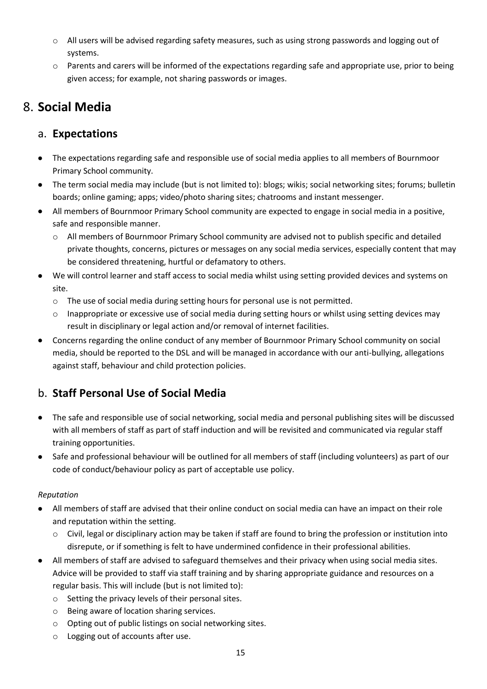- o All users will be advised regarding safety measures, such as using strong passwords and logging out of systems.
- o Parents and carers will be informed of the expectations regarding safe and appropriate use, prior to being given access; for example, not sharing passwords or images.

## <span id="page-14-0"></span>8. **Social Media**

#### <span id="page-14-1"></span>a. **Expectations**

- The expectations regarding safe and responsible use of social media applies to all members of Bournmoor Primary School community.
- The term social media may include (but is not limited to): blogs; wikis; social networking sites; forums; bulletin boards; online gaming; apps; video/photo sharing sites; chatrooms and instant messenger.
- All members of Bournmoor Primary School community are expected to engage in social media in a positive, safe and responsible manner.
	- o All members of Bournmoor Primary School community are advised not to publish specific and detailed private thoughts, concerns, pictures or messages on any social media services, especially content that may be considered threatening, hurtful or defamatory to others.
- We will control learner and staff access to social media whilst using setting provided devices and systems on site.
	- $\circ$  The use of social media during setting hours for personal use is not permitted.
	- o Inappropriate or excessive use of social media during setting hours or whilst using setting devices may result in disciplinary or legal action and/or removal of internet facilities.
- Concerns regarding the online conduct of any member of Bournmoor Primary School community on social media, should be reported to the DSL and will be managed in accordance with our anti-bullying, allegations against staff, behaviour and child protection policies.

## <span id="page-14-2"></span>b. **Staff Personal Use of Social Media**

- The safe and responsible use of social networking, social media and personal publishing sites will be discussed with all members of staff as part of staff induction and will be revisited and communicated via regular staff training opportunities.
- Safe and professional behaviour will be outlined for all members of staff (including volunteers) as part of our code of conduct/behaviour policy as part of acceptable use policy.

#### *Reputation*

- All members of staff are advised that their online conduct on social media can have an impact on their role and reputation within the setting.
	- $\circ$  Civil, legal or disciplinary action may be taken if staff are found to bring the profession or institution into disrepute, or if something is felt to have undermined confidence in their professional abilities.
- All members of staff are advised to safeguard themselves and their privacy when using social media sites. Advice will be provided to staff via staff training and by sharing appropriate guidance and resources on a regular basis. This will include (but is not limited to):
	- o Setting the privacy levels of their personal sites.
	- o Being aware of location sharing services.
	- o Opting out of public listings on social networking sites.
	- o Logging out of accounts after use.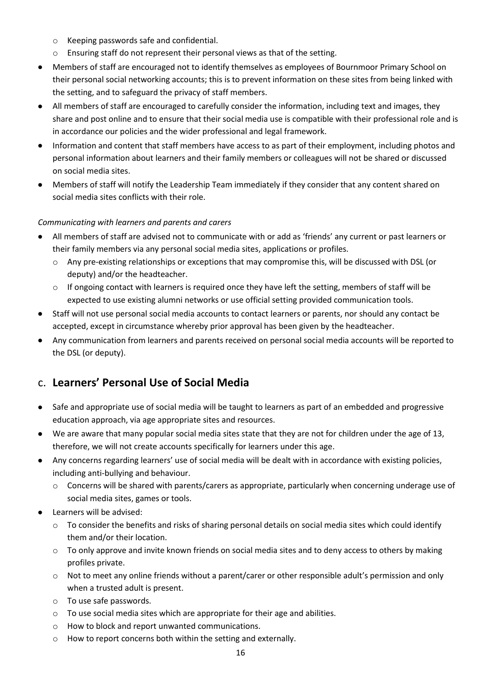- o Keeping passwords safe and confidential.
- o Ensuring staff do not represent their personal views as that of the setting.
- Members of staff are encouraged not to identify themselves as employees of Bournmoor Primary School on their personal social networking accounts; this is to prevent information on these sites from being linked with the setting, and to safeguard the privacy of staff members.
- All members of staff are encouraged to carefully consider the information, including text and images, they share and post online and to ensure that their social media use is compatible with their professional role and is in accordance our policies and the wider professional and legal framework.
- Information and content that staff members have access to as part of their employment, including photos and personal information about learners and their family members or colleagues will not be shared or discussed on social media sites.
- Members of staff will notify the Leadership Team immediately if they consider that any content shared on social media sites conflicts with their role.

#### *Communicating with learners and parents and carers*

- All members of staff are advised not to communicate with or add as 'friends' any current or past learners or their family members via any personal social media sites, applications or profiles.
	- o Any pre-existing relationships or exceptions that may compromise this, will be discussed with DSL (or deputy) and/or the headteacher.
	- $\circ$  If ongoing contact with learners is required once they have left the setting, members of staff will be expected to use existing alumni networks or use official setting provided communication tools.
- Staff will not use personal social media accounts to contact learners or parents, nor should any contact be accepted, except in circumstance whereby prior approval has been given by the headteacher.
- Any communication from learners and parents received on personal social media accounts will be reported to the DSL (or deputy).

### <span id="page-15-0"></span>c. **Learners' Personal Use of Social Media**

- Safe and appropriate use of social media will be taught to learners as part of an embedded and progressive education approach, via age appropriate sites and resources.
- We are aware that many popular social media sites state that they are not for children under the age of 13, therefore, we will not create accounts specifically for learners under this age.
- Any concerns regarding learners' use of social media will be dealt with in accordance with existing policies, including anti-bullying and behaviour.
	- o Concerns will be shared with parents/carers as appropriate, particularly when concerning underage use of social media sites, games or tools.
- Learners will be advised:
	- $\circ$  To consider the benefits and risks of sharing personal details on social media sites which could identify them and/or their location.
	- o To only approve and invite known friends on social media sites and to deny access to others by making profiles private.
	- o Not to meet any online friends without a parent/carer or other responsible adult's permission and only when a trusted adult is present.
	- o To use safe passwords.
	- o To use social media sites which are appropriate for their age and abilities.
	- o How to block and report unwanted communications.
	- o How to report concerns both within the setting and externally.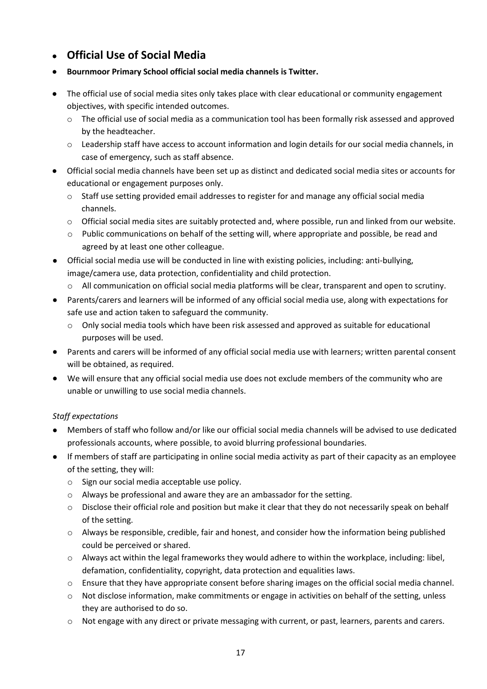- <span id="page-16-0"></span>• **Official Use of Social Media**
- **Bournmoor Primary School official social media channels is Twitter.**
- The official use of social media sites only takes place with clear educational or community engagement objectives, with specific intended outcomes.
	- o The official use of social media as a communication tool has been formally risk assessed and approved by the headteacher.
	- o Leadership staff have access to account information and login details for our social media channels, in case of emergency, such as staff absence.
- Official social media channels have been set up as distinct and dedicated social media sites or accounts for educational or engagement purposes only.
	- $\circ$  Staff use setting provided email addresses to register for and manage any official social media channels.
	- o Official social media sites are suitably protected and, where possible, run and linked from our website.
	- o Public communications on behalf of the setting will, where appropriate and possible, be read and agreed by at least one other colleague.
- Official social media use will be conducted in line with existing policies, including: anti-bullying, image/camera use, data protection, confidentiality and child protection.
	- o All communication on official social media platforms will be clear, transparent and open to scrutiny.
- Parents/carers and learners will be informed of any official social media use, along with expectations for safe use and action taken to safeguard the community.
	- $\circ$  Only social media tools which have been risk assessed and approved as suitable for educational purposes will be used.
- Parents and carers will be informed of any official social media use with learners; written parental consent will be obtained, as required.
- We will ensure that any official social media use does not exclude members of the community who are unable or unwilling to use social media channels.

#### *Staff expectations*

- Members of staff who follow and/or like our official social media channels will be advised to use dedicated professionals accounts, where possible, to avoid blurring professional boundaries.
- If members of staff are participating in online social media activity as part of their capacity as an employee of the setting, they will:
	- o Sign our social media acceptable use policy.
	- o Always be professional and aware they are an ambassador for the setting.
	- $\circ$  Disclose their official role and position but make it clear that they do not necessarily speak on behalf of the setting.
	- $\circ$  Always be responsible, credible, fair and honest, and consider how the information being published could be perceived or shared.
	- o Always act within the legal frameworks they would adhere to within the workplace, including: libel, defamation, confidentiality, copyright, data protection and equalities laws.
	- o Ensure that they have appropriate consent before sharing images on the official social media channel.
	- o Not disclose information, make commitments or engage in activities on behalf of the setting, unless they are authorised to do so.
	- o Not engage with any direct or private messaging with current, or past, learners, parents and carers.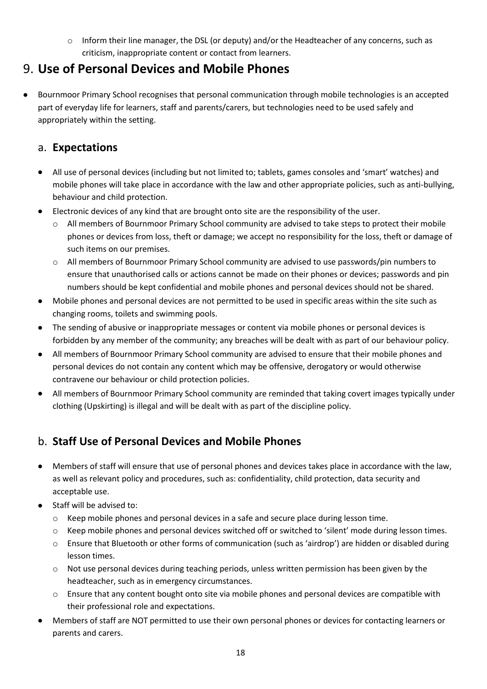o Inform their line manager, the DSL (or deputy) and/or the Headteacher of any concerns, such as criticism, inappropriate content or contact from learners.

## <span id="page-17-0"></span>9. **Use of Personal Devices and Mobile Phones**

• Bournmoor Primary School recognises that personal communication through mobile technologies is an accepted part of everyday life for learners, staff and parents/carers, but technologies need to be used safely and appropriately within the setting.

#### <span id="page-17-1"></span>a. **Expectations**

- All use of personal devices (including but not limited to; tablets, games consoles and 'smart' watches) and mobile phones will take place in accordance with the law and other appropriate policies, such as anti-bullying, behaviour and child protection.
- Electronic devices of any kind that are brought onto site are the responsibility of the user.
	- o All members of Bournmoor Primary School community are advised to take steps to protect their mobile phones or devices from loss, theft or damage; we accept no responsibility for the loss, theft or damage of such items on our premises.
	- o All members of Bournmoor Primary School community are advised to use passwords/pin numbers to ensure that unauthorised calls or actions cannot be made on their phones or devices; passwords and pin numbers should be kept confidential and mobile phones and personal devices should not be shared.
- Mobile phones and personal devices are not permitted to be used in specific areas within the site such as changing rooms, toilets and swimming pools.
- The sending of abusive or inappropriate messages or content via mobile phones or personal devices is forbidden by any member of the community; any breaches will be dealt with as part of our behaviour policy.
- All members of Bournmoor Primary School community are advised to ensure that their mobile phones and personal devices do not contain any content which may be offensive, derogatory or would otherwise contravene our behaviour or child protection policies.
- All members of Bournmoor Primary School community are reminded that taking covert images typically under clothing (Upskirting) is illegal and will be dealt with as part of the discipline policy.

## <span id="page-17-2"></span>b. **Staff Use of Personal Devices and Mobile Phones**

- Members of staff will ensure that use of personal phones and devices takes place in accordance with the law, as well as relevant policy and procedures, such as: confidentiality, child protection, data security and acceptable use.
- Staff will be advised to:
	- o Keep mobile phones and personal devices in a safe and secure place during lesson time.
	- o Keep mobile phones and personal devices switched off or switched to 'silent' mode during lesson times.
	- o Ensure that Bluetooth or other forms of communication (such as 'airdrop') are hidden or disabled during lesson times.
	- $\circ$  Not use personal devices during teaching periods, unless written permission has been given by the headteacher, such as in emergency circumstances.
	- o Ensure that any content bought onto site via mobile phones and personal devices are compatible with their professional role and expectations.
- Members of staff are NOT permitted to use their own personal phones or devices for contacting learners or parents and carers.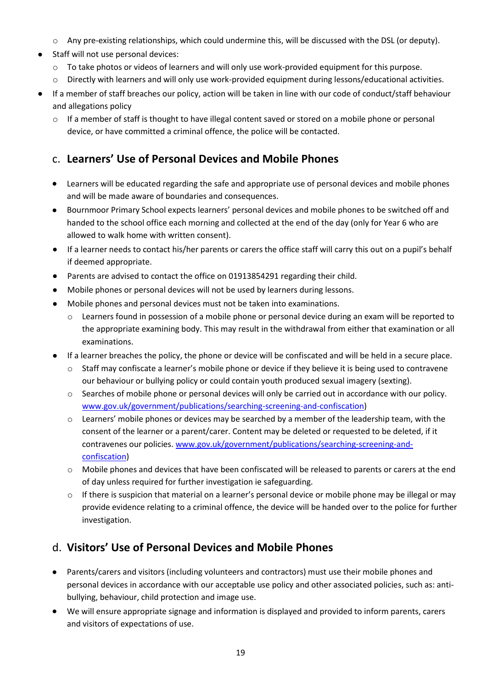- o Any pre-existing relationships, which could undermine this, will be discussed with the DSL (or deputy).
- Staff will not use personal devices:
	- o To take photos or videos of learners and will only use work-provided equipment for this purpose.
	- o Directly with learners and will only use work-provided equipment during lessons/educational activities.
- If a member of staff breaches our policy, action will be taken in line with our code of conduct/staff behaviour and allegations policy
	- $\circ$  If a member of staff is thought to have illegal content saved or stored on a mobile phone or personal device, or have committed a criminal offence, the police will be contacted.

#### <span id="page-18-0"></span>c. **Learners' Use of Personal Devices and Mobile Phones**

- Learners will be educated regarding the safe and appropriate use of personal devices and mobile phones and will be made aware of boundaries and consequences.
- Bournmoor Primary School expects learners' personal devices and mobile phones to be switched off and handed to the school office each morning and collected at the end of the day (only for Year 6 who are allowed to walk home with written consent).
- If a learner needs to contact his/her parents or carers the office staff will carry this out on a pupil's behalf if deemed appropriate.
- Parents are advised to contact the office on 01913854291 regarding their child.
- Mobile phones or personal devices will not be used by learners during lessons.
- Mobile phones and personal devices must not be taken into examinations.
	- o Learners found in possession of a mobile phone or personal device during an exam will be reported to the appropriate examining body. This may result in the withdrawal from either that examination or all examinations.
- If a learner breaches the policy, the phone or device will be confiscated and will be held in a secure place.
	- $\circ$  Staff may confiscate a learner's mobile phone or device if they believe it is being used to contravene our behaviour or bullying policy or could contain youth produced sexual imagery (sexting).
	- $\circ$  Searches of mobile phone or personal devices will only be carried out in accordance with our policy. [www.gov.uk/government/publications/searching-screening-and-confiscation\)](http://www.gov.uk/government/publications/searching-screening-and-confiscation)
	- o Learners' mobile phones or devices may be searched by a member of the leadership team, with the consent of the learner or a parent/carer. Content may be deleted or requested to be deleted, if it contravenes our policies[. www.gov.uk/government/publications/searching-screening-and](http://www.gov.uk/government/publications/searching-screening-and-confiscation)[confiscation\)](http://www.gov.uk/government/publications/searching-screening-and-confiscation)
	- o Mobile phones and devices that have been confiscated will be released to parents or carers at the end of day unless required for further investigation ie safeguarding.
	- o If there is suspicion that material on a learner's personal device or mobile phone may be illegal or may provide evidence relating to a criminal offence, the device will be handed over to the police for further investigation.

### <span id="page-18-1"></span>d. **Visitors' Use of Personal Devices and Mobile Phones**

- Parents/carers and visitors (including volunteers and contractors) must use their mobile phones and personal devices in accordance with our acceptable use policy and other associated policies, such as: antibullying, behaviour, child protection and image use.
- We will ensure appropriate signage and information is displayed and provided to inform parents, carers and visitors of expectations of use.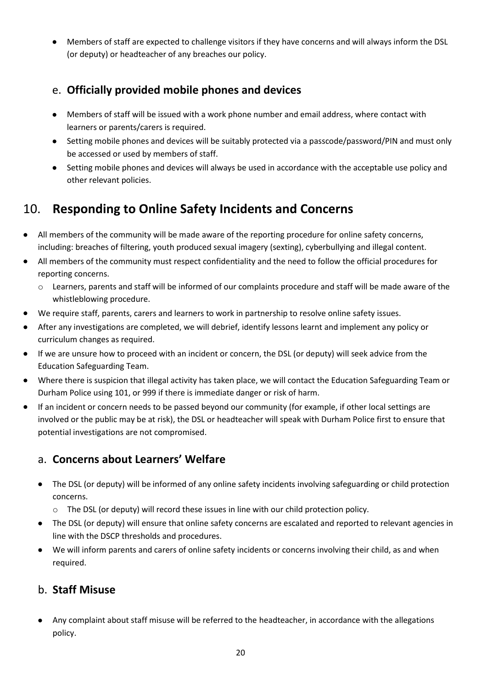• Members of staff are expected to challenge visitors if they have concerns and will always inform the DSL (or deputy) or headteacher of any breaches our policy.

### <span id="page-19-0"></span>e. **Officially provided mobile phones and devices**

- Members of staff will be issued with a work phone number and email address, where contact with learners or parents/carers is required.
- Setting mobile phones and devices will be suitably protected via a passcode/password/PIN and must only be accessed or used by members of staff.
- Setting mobile phones and devices will always be used in accordance with the acceptable use policy and other relevant policies.

## <span id="page-19-1"></span>10. **Responding to Online Safety Incidents and Concerns**

- All members of the community will be made aware of the reporting procedure for online safety concerns, including: breaches of filtering, youth produced sexual imagery (sexting), cyberbullying and illegal content.
- All members of the community must respect confidentiality and the need to follow the official procedures for reporting concerns.
	- o Learners, parents and staff will be informed of our complaints procedure and staff will be made aware of the whistleblowing procedure.
- We require staff, parents, carers and learners to work in partnership to resolve online safety issues.
- After any investigations are completed, we will debrief, identify lessons learnt and implement any policy or curriculum changes as required.
- If we are unsure how to proceed with an incident or concern, the DSL (or deputy) will seek advice from the Education Safeguarding Team.
- Where there is suspicion that illegal activity has taken place, we will contact the Education Safeguarding Team or Durham Police using 101, or 999 if there is immediate danger or risk of harm.
- If an incident or concern needs to be passed beyond our community (for example, if other local settings are involved or the public may be at risk), the DSL or headteacher will speak with Durham Police first to ensure that potential investigations are not compromised.

### <span id="page-19-2"></span>a. **Concerns about Learners' Welfare**

- The DSL (or deputy) will be informed of any online safety incidents involving safeguarding or child protection concerns.
	- o The DSL (or deputy) will record these issues in line with our child protection policy.
- The DSL (or deputy) will ensure that online safety concerns are escalated and reported to relevant agencies in line with the DSCP thresholds and procedures.
- We will inform parents and carers of online safety incidents or concerns involving their child, as and when required.

### <span id="page-19-3"></span>b. **Staff Misuse**

• Any complaint about staff misuse will be referred to the headteacher, in accordance with the allegations policy.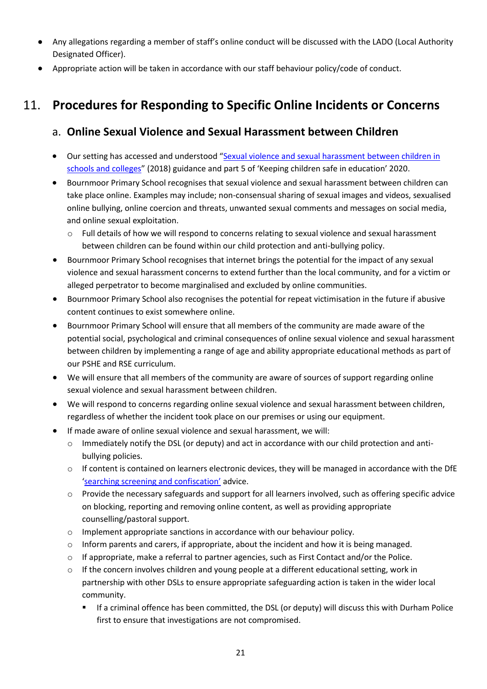- Any allegations regarding a member of staff's online conduct will be discussed with the LADO (Local Authority Designated Officer).
- Appropriate action will be taken in accordance with our staff behaviour policy/code of conduct.

## <span id="page-20-1"></span><span id="page-20-0"></span>11. **Procedures for Responding to Specific Online Incidents or Concerns**

### a. **Online Sexual Violence and Sexual Harassment between Children**

- Our setting has accessed and understood "[Sexual violence and sexual harassment between children in](https://www.gov.uk/government/publications/sexual-violence-and-sexual-harassment-between-children-in-schools-and-colleges)  [schools and colleges](https://www.gov.uk/government/publications/sexual-violence-and-sexual-harassment-between-children-in-schools-and-colleges)" (2018) guidance and part 5 of 'Keeping children safe in education' 2020.
- Bournmoor Primary School recognises that sexual violence and sexual harassment between children can take place online. Examples may include; non-consensual sharing of sexual images and videos, sexualised online bullying, online coercion and threats, unwanted sexual comments and messages on social media, and online sexual exploitation.
	- o Full details of how we will respond to concerns relating to sexual violence and sexual harassment between children can be found within our child protection and anti-bullying policy.
- Bournmoor Primary School recognises that internet brings the potential for the impact of any sexual violence and sexual harassment concerns to extend further than the local community, and for a victim or alleged perpetrator to become marginalised and excluded by online communities.
- Bournmoor Primary School also recognises the potential for repeat victimisation in the future if abusive content continues to exist somewhere online.
- Bournmoor Primary School will ensure that all members of the community are made aware of the potential social, psychological and criminal consequences of online sexual violence and sexual harassment between children by implementing a range of age and ability appropriate educational methods as part of our PSHE and RSE curriculum.
- We will ensure that all members of the community are aware of sources of support regarding online sexual violence and sexual harassment between children.
- We will respond to concerns regarding online sexual violence and sexual harassment between children, regardless of whether the incident took place on our premises or using our equipment.
- If made aware of online sexual violence and sexual harassment, we will:
	- $\circ$  Immediately notify the DSL (or deputy) and act in accordance with our child protection and antibullying policies.
	- o If content is contained on learners electronic devices, they will be managed in accordance with the DfE ['searching screening and confiscation'](https://www.gov.uk/government/publications/searching-screening-and-confiscation) advice.
	- o Provide the necessary safeguards and support for all learners involved, such as offering specific advice on blocking, reporting and removing online content, as well as providing appropriate counselling/pastoral support.
	- o Implement appropriate sanctions in accordance with our behaviour policy.
	- $\circ$  Inform parents and carers, if appropriate, about the incident and how it is being managed.
	- o If appropriate, make a referral to partner agencies, such as First Contact and/or the Police.
	- $\circ$  If the concern involves children and young people at a different educational setting, work in partnership with other DSLs to ensure appropriate safeguarding action is taken in the wider local community.
		- If a criminal offence has been committed, the DSL (or deputy) will discuss this with Durham Police first to ensure that investigations are not compromised.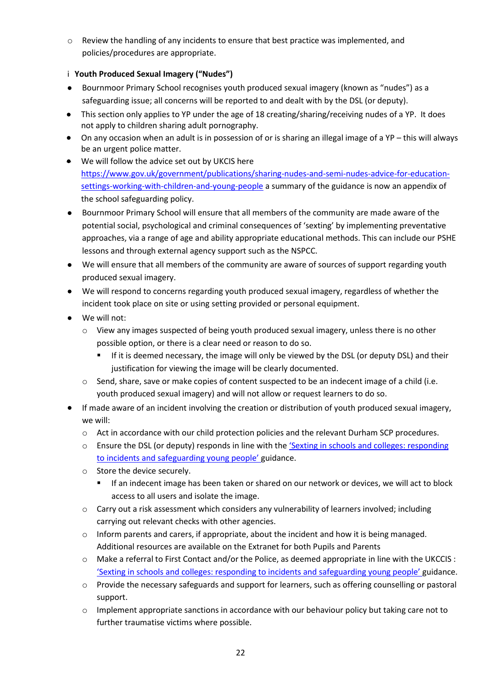o Review the handling of any incidents to ensure that best practice was implemented, and policies/procedures are appropriate.

#### i **Youth Produced Sexual Imagery ("Nudes")**

- Bournmoor Primary School recognises youth produced sexual imagery (known as "nudes") as a safeguarding issue; all concerns will be reported to and dealt with by the DSL (or deputy).
- This section only applies to YP under the age of 18 creating/sharing/receiving nudes of a YP. It does not apply to children sharing adult pornography.
- On any occasion when an adult is in possession of or is sharing an illegal image of a YP this will always be an urgent police matter.
- We will follow the advice set out by UKCIS here [https://www.gov.uk/government/publications/sharing-nudes-and-semi-nudes-advice-for-education](https://www.gov.uk/government/publications/sharing-nudes-and-semi-nudes-advice-for-education-settings-working-with-children-and-young-people)[settings-working-with-children-and-young-people](https://www.gov.uk/government/publications/sharing-nudes-and-semi-nudes-advice-for-education-settings-working-with-children-and-young-people) a summary of the guidance is now an appendix of the school safeguarding policy.
- Bournmoor Primary School will ensure that all members of the community are made aware of the potential social, psychological and criminal consequences of 'sexting' by implementing preventative approaches, via a range of age and ability appropriate educational methods. This can include our PSHE lessons and through external agency support such as the NSPCC.
- We will ensure that all members of the community are aware of sources of support regarding youth produced sexual imagery.
- We will respond to concerns regarding youth produced sexual imagery, regardless of whether the incident took place on site or using setting provided or personal equipment.
- We will not:
	- o View any images suspected of being youth produced sexual imagery, unless there is no other possible option, or there is a clear need or reason to do so.
		- **■** If it is deemed necessary, the image will only be viewed by the DSL (or deputy DSL) and their justification for viewing the image will be clearly documented.
	- $\circ$  Send, share, save or make copies of content suspected to be an indecent image of a child (i.e. youth produced sexual imagery) and will not allow or request learners to do so.
- If made aware of an incident involving the creation or distribution of youth produced sexual imagery, we will:
	- o Act in accordance with our child protection policies and the relevant Durham SCP procedures.
	- $\circ$  Ensure the DSL (or deputy) responds in line with the 'Sexting in schools and colleges: responding [to incidents and safeguarding young people'](https://www.gov.uk/government/groups/uk-council-for-child-internet-safety-ukccis) guidance.
	- o Store the device securely.
		- If an indecent image has been taken or shared on our network or devices, we will act to block access to all users and isolate the image.
	- $\circ$  Carry out a risk assessment which considers any vulnerability of learners involved; including carrying out relevant checks with other agencies.
	- $\circ$  Inform parents and carers, if appropriate, about the incident and how it is being managed. Additional resources are available on the Extranet for both Pupils and Parents
	- $\circ$  Make a referral to First Contact and/or the Police, as deemed appropriate in line with the UKCCIS : ['Sexting in schools and colleges: responding to incidents and safeguarding young people'](https://www.gov.uk/government/groups/uk-council-for-child-internet-safety-ukccis) guidance.
	- o Provide the necessary safeguards and support for learners, such as offering counselling or pastoral support.
	- $\circ$  Implement appropriate sanctions in accordance with our behaviour policy but taking care not to further traumatise victims where possible.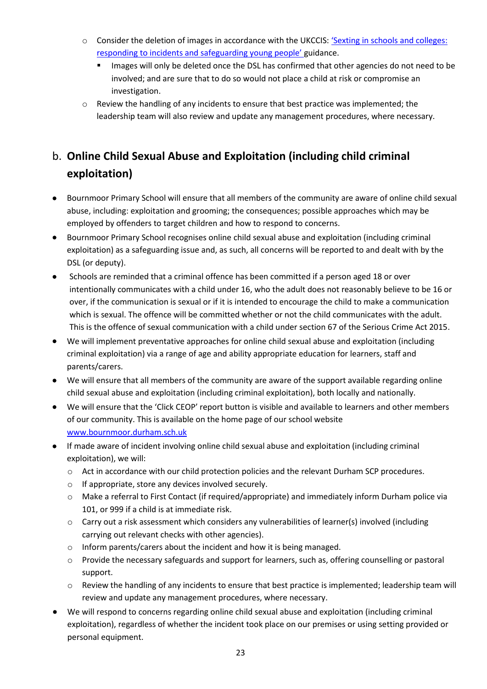- o Consider the deletion of images in accordance with the UKCCIS: '[Sexting in schools and colleges:](https://www.gov.uk/government/groups/uk-council-for-child-internet-safety-ukccis)  [responding to incidents and safeguarding young people'](https://www.gov.uk/government/groups/uk-council-for-child-internet-safety-ukccis) guidance.
	- Images will only be deleted once the DSL has confirmed that other agencies do not need to be involved; and are sure that to do so would not place a child at risk or compromise an investigation.
- $\circ$  Review the handling of any incidents to ensure that best practice was implemented; the leadership team will also review and update any management procedures, where necessary.

## <span id="page-22-0"></span>b. **Online Child Sexual Abuse and Exploitation (including child criminal exploitation)**

- Bournmoor Primary School will ensure that all members of the community are aware of online child sexual abuse, including: exploitation and grooming; the consequences; possible approaches which may be employed by offenders to target children and how to respond to concerns.
- Bournmoor Primary School recognises online child sexual abuse and exploitation (including criminal exploitation) as a safeguarding issue and, as such, all concerns will be reported to and dealt with by the DSL (or deputy).
- Schools are reminded that a criminal offence has been committed if a person aged 18 or over intentionally communicates with a child under 16, who the adult does not reasonably believe to be 16 or over, if the communication is sexual or if it is intended to encourage the child to make a communication which is sexual. The offence will be committed whether or not the child communicates with the adult. This is the offence of sexual communication with a child under section 67 of the Serious Crime Act 2015.
- We will implement preventative approaches for online child sexual abuse and exploitation (including criminal exploitation) via a range of age and ability appropriate education for learners, staff and parents/carers.
- We will ensure that all members of the community are aware of the support available regarding online child sexual abuse and exploitation (including criminal exploitation), both locally and nationally.
- We will ensure that the 'Click CEOP' report button is visible and available to learners and other members of our community. This is available on the home page of our school website [www.bournmoor.durham.sch.uk](http://www.bournmoor.durham.sch.uk/)
- If made aware of incident involving online child sexual abuse and exploitation (including criminal exploitation), we will:
	- o Act in accordance with our child protection policies and the relevant Durham SCP procedures.
	- o If appropriate, store any devices involved securely.
	- o Make a referral to First Contact (if required/appropriate) and immediately inform Durham police via 101, or 999 if a child is at immediate risk.
	- $\circ$  Carry out a risk assessment which considers any vulnerabilities of learner(s) involved (including carrying out relevant checks with other agencies).
	- o Inform parents/carers about the incident and how it is being managed.
	- $\circ$  Provide the necessary safeguards and support for learners, such as, offering counselling or pastoral support.
	- $\circ$  Review the handling of any incidents to ensure that best practice is implemented; leadership team will review and update any management procedures, where necessary.
- We will respond to concerns regarding online child sexual abuse and exploitation (including criminal exploitation), regardless of whether the incident took place on our premises or using setting provided or personal equipment.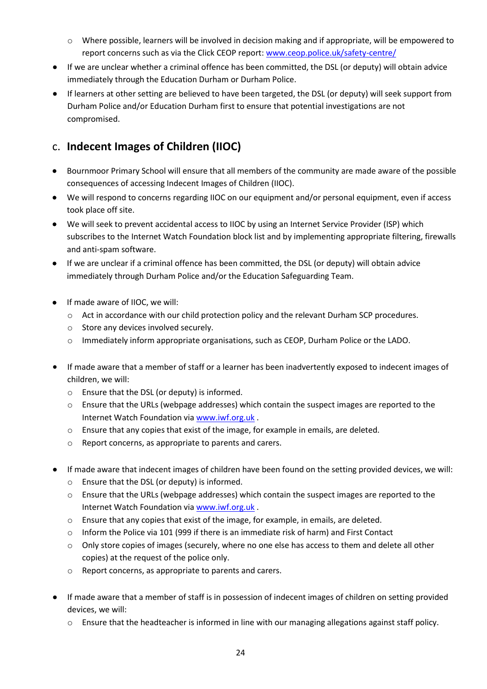- o Where possible, learners will be involved in decision making and if appropriate, will be empowered to report concerns such as via the Click CEOP report: [www.ceop.police.uk/safety-centre/](http://www.ceop.police.uk/safety-centre/)
- If we are unclear whether a criminal offence has been committed, the DSL (or deputy) will obtain advice immediately through the Education Durham or Durham Police.
- If learners at other setting are believed to have been targeted, the DSL (or deputy) will seek support from Durham Police and/or Education Durham first to ensure that potential investigations are not compromised.

### <span id="page-23-0"></span>c. **Indecent Images of Children (IIOC)**

- Bournmoor Primary School will ensure that all members of the community are made aware of the possible consequences of accessing Indecent Images of Children (IIOC).
- We will respond to concerns regarding IIOC on our equipment and/or personal equipment, even if access took place off site.
- We will seek to prevent accidental access to IIOC by using an Internet Service Provider (ISP) which subscribes to the Internet Watch Foundation block list and by implementing appropriate filtering, firewalls and anti-spam software.
- If we are unclear if a criminal offence has been committed, the DSL (or deputy) will obtain advice immediately through Durham Police and/or the Education Safeguarding Team.
- If made aware of IIOC, we will:
	- o Act in accordance with our child protection policy and the relevant Durham SCP procedures.
	- o Store any devices involved securely.
	- o Immediately inform appropriate organisations, such as CEOP, Durham Police or the LADO.
- If made aware that a member of staff or a learner has been inadvertently exposed to indecent images of children, we will:
	- o Ensure that the DSL (or deputy) is informed.
	- o Ensure that the URLs (webpage addresses) which contain the suspect images are reported to the Internet Watch Foundation via [www.iwf.org.uk](https://www.iwf.org.uk/) .
	- $\circ$  Ensure that any copies that exist of the image, for example in emails, are deleted.
	- Report concerns, as appropriate to parents and carers.
- If made aware that indecent images of children have been found on the setting provided devices, we will:
	- o Ensure that the DSL (or deputy) is informed.
	- o Ensure that the URLs (webpage addresses) which contain the suspect images are reported to the Internet Watch Foundation via [www.iwf.org.uk](https://www.iwf.org.uk/) .
	- o Ensure that any copies that exist of the image, for example, in emails, are deleted.
	- o Inform the Police via 101 (999 if there is an immediate risk of harm) and First Contact
	- $\circ$  Only store copies of images (securely, where no one else has access to them and delete all other copies) at the request of the police only.
	- o Report concerns, as appropriate to parents and carers.
- If made aware that a member of staff is in possession of indecent images of children on setting provided devices, we will:
	- $\circ$  Ensure that the headteacher is informed in line with our managing allegations against staff policy.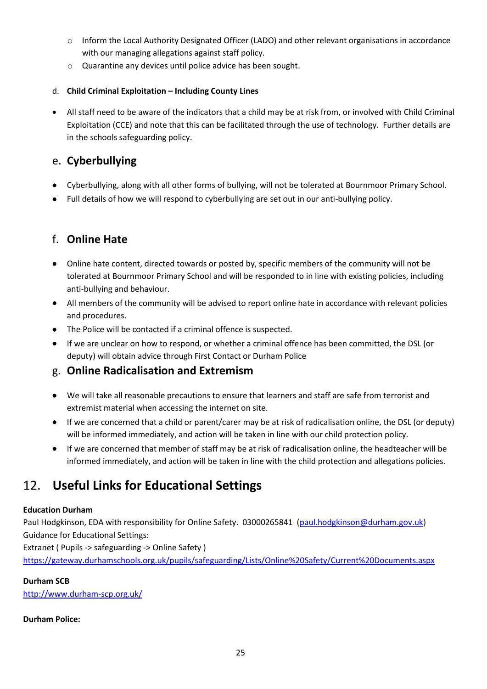- o Inform the Local Authority Designated Officer (LADO) and other relevant organisations in accordance with our managing allegations against staff policy.
- o Quarantine any devices until police advice has been sought.

#### d. **Child Criminal Exploitation – Including County Lines**

• All staff need to be aware of the indicators that a child may be at risk from, or involved with Child Criminal Exploitation (CCE) and note that this can be facilitated through the use of technology. Further details are in the schools safeguarding policy.

### <span id="page-24-0"></span>e. **Cyberbullying**

- Cyberbullying, along with all other forms of bullying, will not be tolerated at Bournmoor Primary School.
- Full details of how we will respond to cyberbullying are set out in our anti-bullying policy.

### <span id="page-24-1"></span>f. **Online Hate**

- Online hate content, directed towards or posted by, specific members of the community will not be tolerated at Bournmoor Primary School and will be responded to in line with existing policies, including anti-bullying and behaviour.
- All members of the community will be advised to report online hate in accordance with relevant policies and procedures.
- The Police will be contacted if a criminal offence is suspected.
- If we are unclear on how to respond, or whether a criminal offence has been committed, the DSL (or deputy) will obtain advice through First Contact or Durham Police

#### <span id="page-24-2"></span>g. **Online Radicalisation and Extremism**

- We will take all reasonable precautions to ensure that learners and staff are safe from terrorist and extremist material when accessing the internet on site.
- If we are concerned that a child or parent/carer may be at risk of radicalisation online, the DSL (or deputy) will be informed immediately, and action will be taken in line with our child protection policy.
- If we are concerned that member of staff may be at risk of radicalisation online, the headteacher will be informed immediately, and action will be taken in line with the child protection and allegations policies.

## <span id="page-24-3"></span>12. **Useful Links for Educational Settings**

#### **Education Durham**

Paul Hodgkinson, EDA with responsibility for Online Safety. 03000265841 [\(paul.hodgkinson@durham.gov.uk\)](mailto:paul.hodgkinson@durham.gov.uk) Guidance for Educational Settings:

Extranet ( Pupils -> safeguarding -> Online Safety )

<https://gateway.durhamschools.org.uk/pupils/safeguarding/Lists/Online%20Safety/Current%20Documents.aspx>

#### **Durham SCB**

http://www.durham-scp.org.uk/

#### **Durham Police:**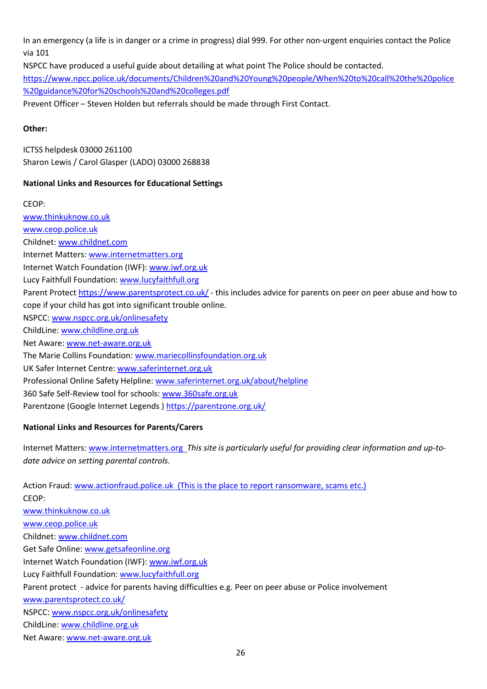In an emergency (a life is in danger or a crime in progress) dial 999. For other non-urgent enquiries contact the Police via 101

NSPCC have produced a useful guide about detailing at what point The Police should be contacted.

[https://www.npcc.police.uk/documents/Children%20and%20Young%20people/When%20to%20call%20the%20police](https://www.npcc.police.uk/documents/Children%20and%20Young%20people/When%20to%20call%20the%20police%20guidance%20for%20schools%20and%20colleges.pdf) [%20guidance%20for%20schools%20and%20colleges.pdf](https://www.npcc.police.uk/documents/Children%20and%20Young%20people/When%20to%20call%20the%20police%20guidance%20for%20schools%20and%20colleges.pdf)

Prevent Officer – Steven Holden but referrals should be made through First Contact.

#### **Other:**

ICTSS helpdesk 03000 261100 Sharon Lewis / Carol Glasper (LADO) 03000 268838

#### **National Links and Resources for Educational Settings**

CEOP:

[www.thinkuknow.co.uk](http://www.thinkuknow.co.uk/) [www.ceop.police.uk](http://www.ceop.police.uk/) Childnet: [www.childnet.com](http://www.childnet.com/) Internet Matters: [www.internetmatters.org](http://www.internetmatters.org/) Internet Watch Foundation (IWF)[: www.iwf.org.uk](http://www.iwf.org.uk/) Lucy Faithfull Foundation[: www.lucyfaithfull.org](http://www.lucyfaithfull.org/) Parent Protect<https://www.parentsprotect.co.uk/> - this includes advice for parents on peer on peer abuse and how to cope if your child has got into significant trouble online. NSPCC: [www.nspcc.org.uk/onlinesafety](http://www.nspcc.org.uk/onlinesafety) ChildLine[: www.childline.org.uk](http://www.childline.org.uk/) Net Aware: [www.net-aware.org.uk](http://www.net-aware.org.uk/) The Marie Collins Foundation: [www.mariecollinsfoundation.org.uk](http://www.mariecollinsfoundation.org.uk/) UK Safer Internet Centre[: www.saferinternet.org.uk](http://www.saferinternet.org.uk/) Professional Online Safety Helpline: [www.saferinternet.org.uk/about/helpline](http://www.saferinternet.org.uk/about/helpline) 360 Safe Self-Review tool for schools: [www.360safe.org.uk](http://www.360safe.org.uk/) Parentzone (Google Internet Legends )<https://parentzone.org.uk/>

#### **National Links and Resources for Parents/Carers**

Internet Matters: [www.internetmatters.org](http://www.internetmatters.org/) *This site is particularly useful for providing clear information and up-todate advice on setting parental controls.*

Action Fraud: [www.actionfraud.police.uk](http://www.actionfraud.police.uk/) (This is the place to report ransomware, scams etc.) CEOP: [www.thinkuknow.co.uk](http://www.thinkuknow.co.uk/) [www.ceop.police.uk](http://www.ceop.police.uk/) Childnet: [www.childnet.com](http://www.childnet.com/) Get Safe Online: [www.getsafeonline.org](http://www.getsafeonline.org/) Internet Watch Foundation (IWF)[: www.iwf.org.uk](http://www.iwf.org.uk/) Lucy Faithfull Foundation[: www.lucyfaithfull.org](http://www.lucyfaithfull.org/) Parent protect - advice for parents having difficulties e.g. Peer on peer abuse or Police involvement [www.parentsprotect.co.uk/](http://www.parentsprotect.co.uk/) NSPCC: [www.nspcc.org.uk/onlinesafety](http://www.nspcc.org.uk/onlinesafety) ChildLine[: www.childline.org.uk](http://www.childline.org.uk/) Net Aware: [www.net-aware.org.uk](http://www.net-aware.org.uk/)